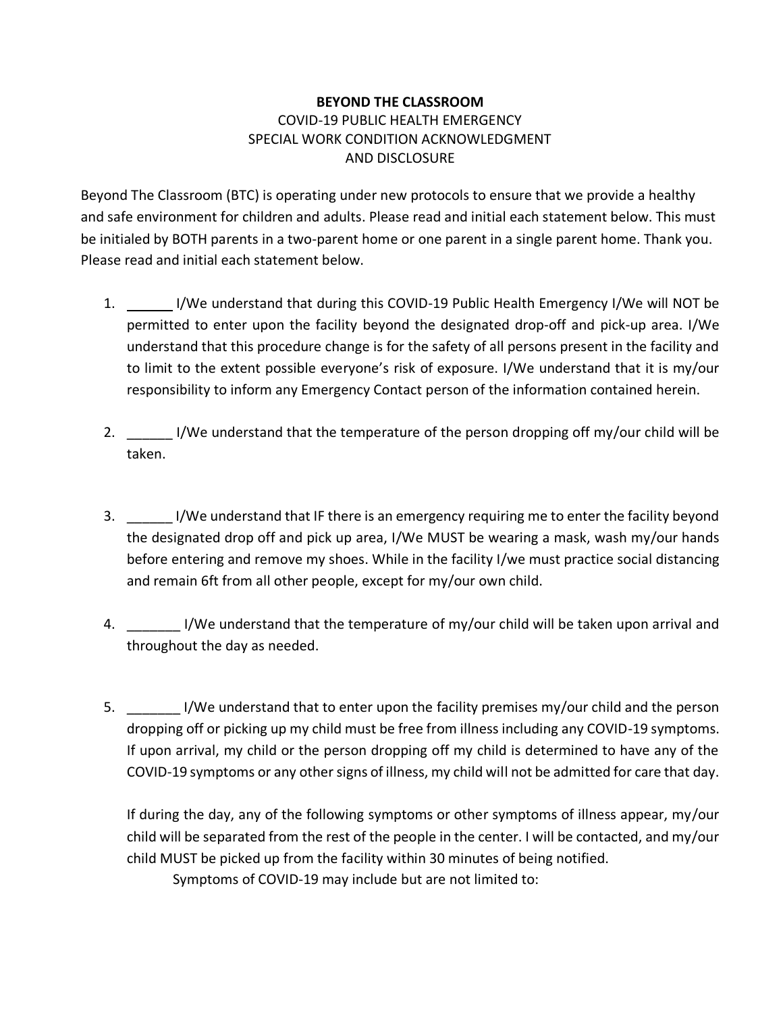## **BEYOND THE CLASSROOM** COVID-19 PUBLIC HEALTH EMERGENCY SPECIAL WORK CONDITION ACKNOWLEDGMENT AND DISCLOSURE

Beyond The Classroom (BTC) is operating under new protocols to ensure that we provide a healthy and safe environment for children and adults. Please read and initial each statement below. This must be initialed by BOTH parents in a two-parent home or one parent in a single parent home. Thank you. Please read and initial each statement below.

- 1. I/We understand that during this COVID-19 Public Health Emergency I/We will NOT be permitted to enter upon the facility beyond the designated drop-off and pick-up area. I/We understand that this procedure change is for the safety of all persons present in the facility and to limit to the extent possible everyone's risk of exposure. I/We understand that it is my/our responsibility to inform any Emergency Contact person of the information contained herein.
- 2. I/We understand that the temperature of the person dropping off my/our child will be taken.
- 3. \_\_\_\_\_\_ I/We understand that IF there is an emergency requiring me to enter the facility beyond the designated drop off and pick up area, I/We MUST be wearing a mask, wash my/our hands before entering and remove my shoes. While in the facility I/we must practice social distancing and remain 6ft from all other people, except for my/our own child.
- 4. \_\_\_\_\_\_\_\_\_ I/We understand that the temperature of my/our child will be taken upon arrival and throughout the day as needed.
- 5. \_\_\_\_\_\_\_ I/We understand that to enter upon the facility premises my/our child and the person dropping off or picking up my child must be free from illness including any COVID-19 symptoms. If upon arrival, my child or the person dropping off my child is determined to have any of the COVID-19 symptoms or any other signs of illness, my child will not be admitted for care that day.

If during the day, any of the following symptoms or other symptoms of illness appear, my/our child will be separated from the rest of the people in the center. I will be contacted, and my/our child MUST be picked up from the facility within 30 minutes of being notified.

Symptoms of COVID-19 may include but are not limited to: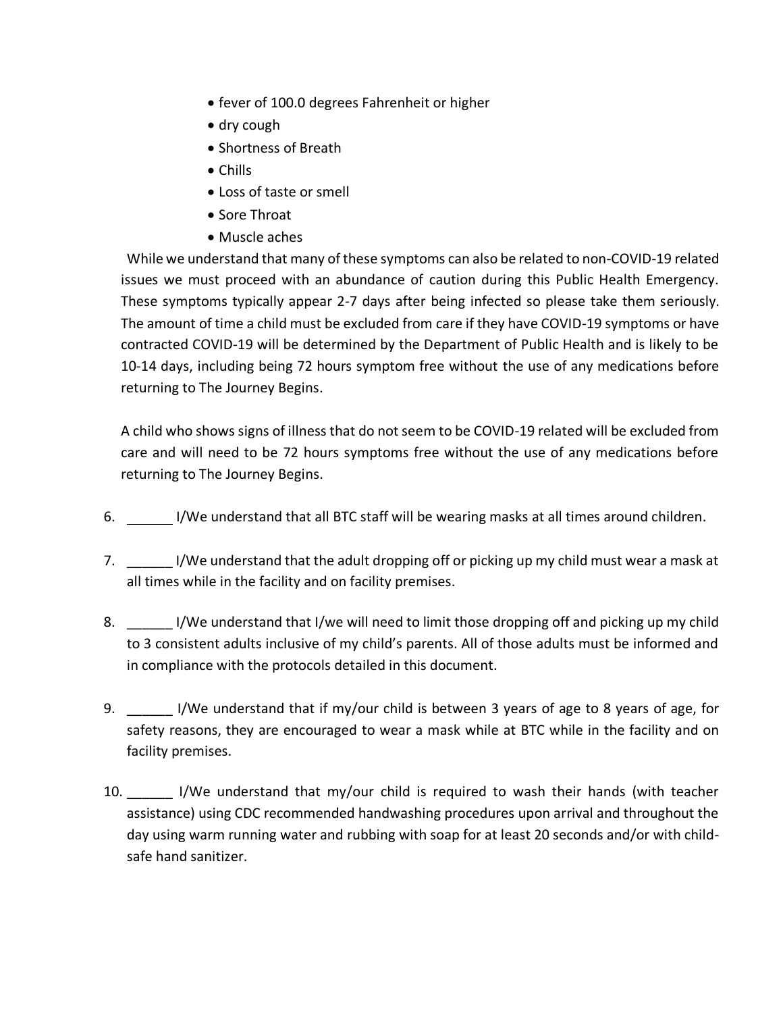- fever of 100.0 degrees Fahrenheit or higher
- dry cough
- Shortness of Breath
- Chills
- Loss of taste or smell
- Sore Throat
- Muscle aches

While we understand that many of these symptoms can also be related to non-COVID-19 related issues we must proceed with an abundance of caution during this Public Health Emergency. These symptoms typically appear 2-7 days after being infected so please take them seriously. The amount of time a child must be excluded from care if they have COVID-19 symptoms or have contracted COVID-19 will be determined by the Department of Public Health and is likely to be 10-14 days, including being 72 hours symptom free without the use of any medications before returning to The Journey Begins.

A child who shows signs of illness that do not seem to be COVID-19 related will be excluded from care and will need to be 72 hours symptoms free without the use of any medications before returning to The Journey Begins.

- 6. I/We understand that all BTC staff will be wearing masks at all times around children.
- 7. I/We understand that the adult dropping off or picking up my child must wear a mask at all times while in the facility and on facility premises.
- 8. I/We understand that I/we will need to limit those dropping off and picking up my child to 3 consistent adults inclusive of my child's parents. All of those adults must be informed and in compliance with the protocols detailed in this document.
- 9. \_\_\_\_\_\_\_ I/We understand that if my/our child is between 3 years of age to 8 years of age, for safety reasons, they are encouraged to wear a mask while at BTC while in the facility and on facility premises.
- 10. I/We understand that my/our child is required to wash their hands (with teacher assistance) using CDC recommended handwashing procedures upon arrival and throughout the day using warm running water and rubbing with soap for at least 20 seconds and/or with childsafe hand sanitizer.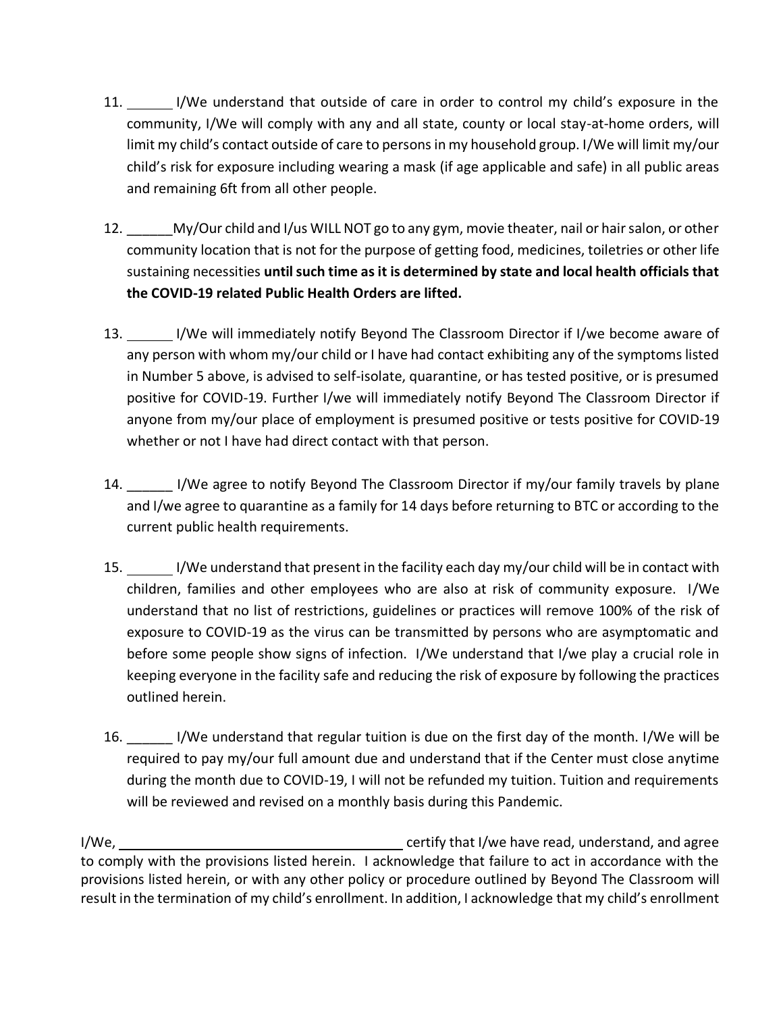- 11. I/We understand that outside of care in order to control my child's exposure in the community, I/We will comply with any and all state, county or local stay-at-home orders, will limit my child's contact outside of care to persons in my household group. I/We will limit my/our child's risk for exposure including wearing a mask (if age applicable and safe) in all public areas and remaining 6ft from all other people.
- 12. \_\_\_\_\_\_My/Our child and I/us WILL NOT go to any gym, movie theater, nail or hair salon, or other community location that is not for the purpose of getting food, medicines, toiletries or other life sustaining necessities **until such time as it is determined by state and local health officials that the COVID-19 related Public Health Orders are lifted.**
- 13. I/We will immediately notify Beyond The Classroom Director if I/we become aware of any person with whom my/our child or I have had contact exhibiting any of the symptoms listed in Number 5 above, is advised to self-isolate, quarantine, or has tested positive, or is presumed positive for COVID-19. Further I/we will immediately notify Beyond The Classroom Director if anyone from my/our place of employment is presumed positive or tests positive for COVID-19 whether or not I have had direct contact with that person.
- 14. I/We agree to notify Beyond The Classroom Director if my/our family travels by plane and I/we agree to quarantine as a family for 14 days before returning to BTC or according to the current public health requirements.
- 15. I/We understand that present in the facility each day my/our child will be in contact with children, families and other employees who are also at risk of community exposure. I/We understand that no list of restrictions, guidelines or practices will remove 100% of the risk of exposure to COVID-19 as the virus can be transmitted by persons who are asymptomatic and before some people show signs of infection. I/We understand that I/we play a crucial role in keeping everyone in the facility safe and reducing the risk of exposure by following the practices outlined herein.
- 16. \_\_\_\_\_\_ I/We understand that regular tuition is due on the first day of the month. I/We will be required to pay my/our full amount due and understand that if the Center must close anytime during the month due to COVID-19, I will not be refunded my tuition. Tuition and requirements will be reviewed and revised on a monthly basis during this Pandemic.

I/We, I/We, and agree in the certify that I/we have read, understand, and agree to comply with the provisions listed herein. I acknowledge that failure to act in accordance with the provisions listed herein, or with any other policy or procedure outlined by Beyond The Classroom will result in the termination of my child's enrollment. In addition, I acknowledge that my child's enrollment